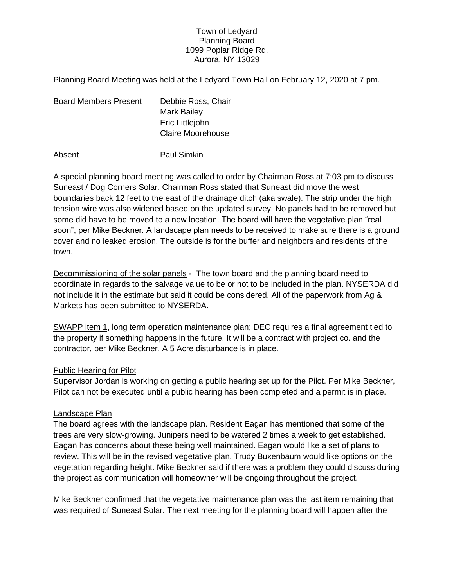### Town of Ledyard Planning Board 1099 Poplar Ridge Rd. Aurora, NY 13029

Planning Board Meeting was held at the Ledyard Town Hall on February 12, 2020 at 7 pm.

| <b>Board Members Present</b> | Debbie Ross, Chair       |
|------------------------------|--------------------------|
|                              | Mark Bailey              |
|                              | Eric Littlejohn          |
|                              | <b>Claire Moorehouse</b> |
|                              |                          |

Absent Paul Simkin

A special planning board meeting was called to order by Chairman Ross at 7:03 pm to discuss Suneast / Dog Corners Solar. Chairman Ross stated that Suneast did move the west boundaries back 12 feet to the east of the drainage ditch (aka swale). The strip under the high tension wire was also widened based on the updated survey. No panels had to be removed but some did have to be moved to a new location. The board will have the vegetative plan "real soon", per Mike Beckner. A landscape plan needs to be received to make sure there is a ground cover and no leaked erosion. The outside is for the buffer and neighbors and residents of the town.

Decommissioning of the solar panels - The town board and the planning board need to coordinate in regards to the salvage value to be or not to be included in the plan. NYSERDA did not include it in the estimate but said it could be considered. All of the paperwork from Ag & Markets has been submitted to NYSERDA.

SWAPP item 1, long term operation maintenance plan; DEC requires a final agreement tied to the property if something happens in the future. It will be a contract with project co. and the contractor, per Mike Beckner. A 5 Acre disturbance is in place.

# Public Hearing for Pilot

Supervisor Jordan is working on getting a public hearing set up for the Pilot. Per Mike Beckner, Pilot can not be executed until a public hearing has been completed and a permit is in place.

# Landscape Plan

The board agrees with the landscape plan. Resident Eagan has mentioned that some of the trees are very slow-growing. Junipers need to be watered 2 times a week to get established. Eagan has concerns about these being well maintained. Eagan would like a set of plans to review. This will be in the revised vegetative plan. Trudy Buxenbaum would like options on the vegetation regarding height. Mike Beckner said if there was a problem they could discuss during the project as communication will homeowner will be ongoing throughout the project.

Mike Beckner confirmed that the vegetative maintenance plan was the last item remaining that was required of Suneast Solar. The next meeting for the planning board will happen after the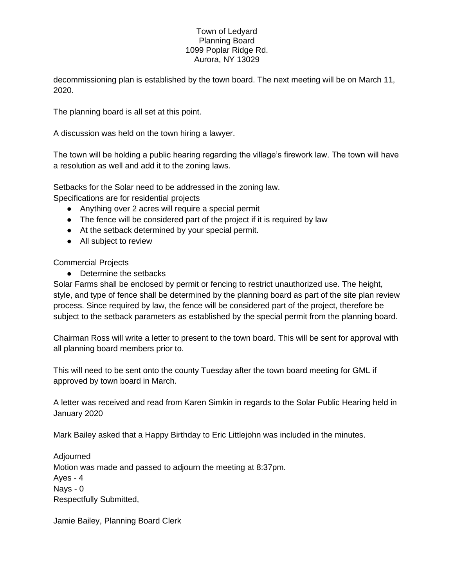### Town of Ledyard Planning Board 1099 Poplar Ridge Rd. Aurora, NY 13029

decommissioning plan is established by the town board. The next meeting will be on March 11, 2020.

The planning board is all set at this point.

A discussion was held on the town hiring a lawyer.

The town will be holding a public hearing regarding the village's firework law. The town will have a resolution as well and add it to the zoning laws.

Setbacks for the Solar need to be addressed in the zoning law. Specifications are for residential projects

● Anything over 2 acres will require a special permit

- The fence will be considered part of the project if it is required by law
- At the setback determined by your special permit.
- All subject to review

# Commercial Projects

● Determine the setbacks

Solar Farms shall be enclosed by permit or fencing to restrict unauthorized use. The height, style, and type of fence shall be determined by the planning board as part of the site plan review process. Since required by law, the fence will be considered part of the project, therefore be subject to the setback parameters as established by the special permit from the planning board.

Chairman Ross will write a letter to present to the town board. This will be sent for approval with all planning board members prior to.

This will need to be sent onto the county Tuesday after the town board meeting for GML if approved by town board in March.

A letter was received and read from Karen Simkin in regards to the Solar Public Hearing held in January 2020

Mark Bailey asked that a Happy Birthday to Eric Littlejohn was included in the minutes.

Adjourned Motion was made and passed to adjourn the meeting at 8:37pm. Ayes - 4 Nays - 0 Respectfully Submitted,

Jamie Bailey, Planning Board Clerk